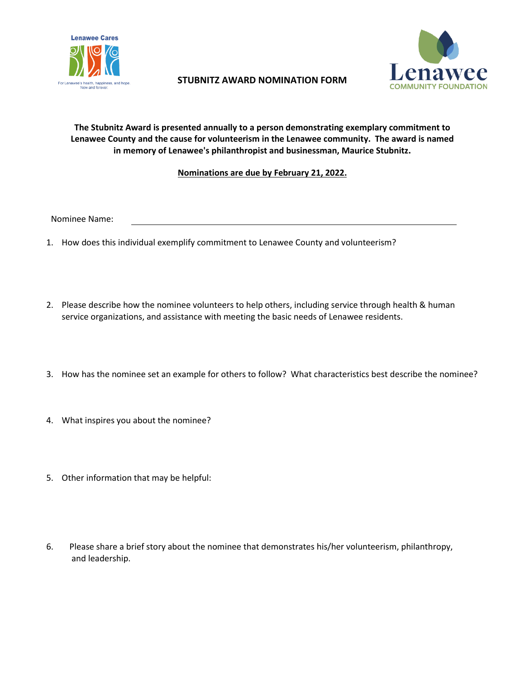

## **STUBNITZ AWARD NOMINATION FORM**



## **The Stubnitz Award is presented annually to a person demonstrating exemplary commitment to Lenawee County and the cause for volunteerism in the Lenawee community. The award is named in memory of Lenawee's philanthropist and businessman, Maurice Stubnitz.**

## **Nominations are due by February 21, 2022.**

Nominee Name:

- 1. How does this individual exemplify commitment to Lenawee County and volunteerism?
- 2. Please describe how the nominee volunteers to help others, including service through health & human service organizations, and assistance with meeting the basic needs of Lenawee residents.
- 3. How has the nominee set an example for others to follow? What characteristics best describe the nominee?
- 4. What inspires you about the nominee?
- 5. Other information that may be helpful:
- 6. Please share a brief story about the nominee that demonstrates his/her volunteerism, philanthropy, and leadership.